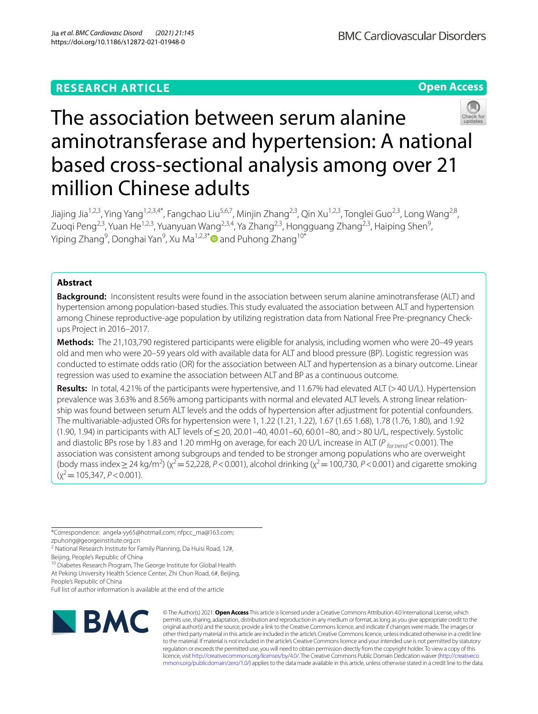## **RESEARCH ARTICLE**

**Open Access**



# The association between serum alanine aminotransferase and hypertension: A national based cross-sectional analysis among over 21 million Chinese adults

Jiajing Jia<sup>1,2,3</sup>, Ying Yang<sup>1,2,3,4\*</sup>, Fangchao Liu<sup>5,6,7</sup>, Minjin Zhang<sup>2,3</sup>, Qin Xu<sup>1,2,3</sup>, Tonglei Guo<sup>2,3</sup>, Long Wang<sup>2,8</sup>, Zuoqi Peng<sup>2,3</sup>, Yuan He<sup>1,2,3</sup>, Yuanyuan Wang<sup>2,3,4</sup>, Ya Zhang<sup>2,3</sup>, Hongguang Zhang<sup>2,3</sup>, Haiping Shen<sup>9</sup>, Yiping Zhang<sup>9</sup>, Donghai Yan<sup>9</sup>, Xu Ma<sup>1,2,3[\\*](http://orcid.org/0000-0001-7674-3589)</sup>❶ and Puhong Zhang<sup>10\*</sup>

### **Abstract**

**Background:** Inconsistent results were found in the association between serum alanine aminotransferase (ALT) and hypertension among population-based studies. This study evaluated the association between ALT and hypertension among Chinese reproductive-age population by utilizing registration data from National Free Pre-pregnancy Checkups Project in 2016–2017.

**Methods:** The 21,103,790 registered participants were eligible for analysis, including women who were 20–49 years old and men who were 20–59 years old with available data for ALT and blood pressure (BP). Logistic regression was conducted to estimate odds ratio (OR) for the association between ALT and hypertension as a binary outcome. Linear regression was used to examine the association between ALT and BP as a continuous outcome.

**Results:** In total, 4.21% of the participants were hypertensive, and 11.67% had elevated ALT (>40 U/L). Hypertension prevalence was 3.63% and 8.56% among participants with normal and elevated ALT levels. A strong linear relationship was found between serum ALT levels and the odds of hypertension after adjustment for potential confounders. The multivariable-adjusted ORs for hypertension were 1, 1.22 (1.21, 1.22), 1.67 (1.65 1.68), 1.78 (1.76, 1.80), and 1.92 (1.90, 1.94) in participants with ALT levels of ≤20, 20.01–40, 40.01–60, 60.01–80, and >80 U/L, respectively. Systolic and diastolic BPs rose by 1.83 and 1.20 mmHg on average, for each 20 U/L increase in ALT (P for trend < 0.001). The association was consistent among subgroups and tended to be stronger among populations who are overweight (body mass index  $\geq$  24 kg/m<sup>2</sup>) ( $\chi^2$  = 52,228, *P*<0.001), alcohol drinking ( $\chi^2$  = 100,730, *P*<0.001) and cigarette smoking  $(x^2=105,347, P<0.001)$ .

\*Correspondence: angela-yy65@hotmail.com; nfpcc\_ma@163.com;

zpuhong@georgeinstitute.org.cn

<sup>2</sup> National Research Institute for Family Planning, Da Huisi Road, 12#, Beijing, People's Republic of China

<sup>10</sup> Diabetes Research Program, The George Institute for Global Health At Peking University Health Science Center, Zhi Chun Road, 6#, Beijing, People's Republic of China

Full list of author information is available at the end of the article



© The Author(s) 2021. **Open Access** This article is licensed under a Creative Commons Attribution 4.0 International License, which permits use, sharing, adaptation, distribution and reproduction in any medium or format, as long as you give appropriate credit to the original author(s) and the source, provide a link to the Creative Commons licence, and indicate if changes were made. The images or other third party material in this article are included in the article's Creative Commons licence, unless indicated otherwise in a credit line to the material. If material is not included in the article's Creative Commons licence and your intended use is not permitted by statutory regulation or exceeds the permitted use, you will need to obtain permission directly from the copyright holder. To view a copy of this licence, visit [http://creativecommons.org/licenses/by/4.0/.](http://creativecommons.org/licenses/by/4.0/) The Creative Commons Public Domain Dedication waiver ([http://creativeco](http://creativecommons.org/publicdomain/zero/1.0/) [mmons.org/publicdomain/zero/1.0/](http://creativecommons.org/publicdomain/zero/1.0/)) applies to the data made available in this article, unless otherwise stated in a credit line to the data.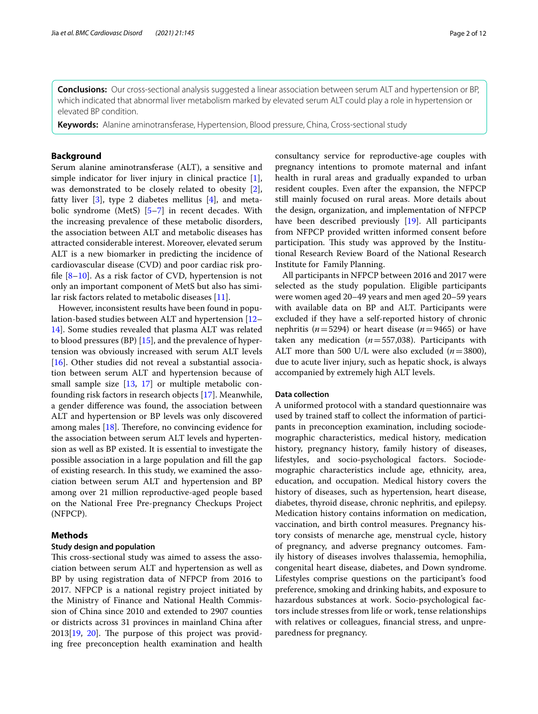**Conclusions:** Our cross-sectional analysis suggested a linear association between serum ALT and hypertension or BP, which indicated that abnormal liver metabolism marked by elevated serum ALT could play a role in hypertension or elevated BP condition.

**Keywords:** Alanine aminotransferase, Hypertension, Blood pressure, China, Cross-sectional study

#### **Background**

Serum alanine aminotransferase (ALT), a sensitive and simple indicator for liver injury in clinical practice [\[1](#page-10-0)], was demonstrated to be closely related to obesity [\[2](#page-10-1)], fatty liver  $[3]$  $[3]$  $[3]$ , type 2 diabetes mellitus  $[4]$  $[4]$  $[4]$ , and metabolic syndrome (MetS) [\[5](#page-10-4)[–7\]](#page-11-0) in recent decades. With the increasing prevalence of these metabolic disorders, the association between ALT and metabolic diseases has attracted considerable interest. Moreover, elevated serum ALT is a new biomarker in predicting the incidence of cardiovascular disease (CVD) and poor cardiac risk profle [[8](#page-11-1)[–10](#page-11-2)]. As a risk factor of CVD, hypertension is not only an important component of MetS but also has similar risk factors related to metabolic diseases [[11\]](#page-11-3).

However, inconsistent results have been found in population-based studies between ALT and hypertension [[12–](#page-11-4) [14\]](#page-11-5). Some studies revealed that plasma ALT was related to blood pressures (BP) [[15\]](#page-11-6), and the prevalence of hypertension was obviously increased with serum ALT levels [[16\]](#page-11-7). Other studies did not reveal a substantial association between serum ALT and hypertension because of small sample size [[13,](#page-11-8) [17](#page-11-9)] or multiple metabolic confounding risk factors in research objects [\[17](#page-11-9)]. Meanwhile, a gender diference was found, the association between ALT and hypertension or BP levels was only discovered among males  $[18]$  $[18]$ . Therefore, no convincing evidence for the association between serum ALT levels and hypertension as well as BP existed. It is essential to investigate the possible association in a large population and fll the gap of existing research. In this study, we examined the association between serum ALT and hypertension and BP among over 21 million reproductive-aged people based on the National Free Pre-pregnancy Checkups Project (NFPCP).

#### **Methods**

#### **Study design and population**

This cross-sectional study was aimed to assess the association between serum ALT and hypertension as well as BP by using registration data of NFPCP from 2016 to 2017. NFPCP is a national registry project initiated by the Ministry of Finance and National Health Commission of China since 2010 and extended to 2907 counties or districts across 31 provinces in mainland China after  $2013[19, 20]$  $2013[19, 20]$  $2013[19, 20]$  $2013[19, 20]$  $2013[19, 20]$ . The purpose of this project was providing free preconception health examination and health consultancy service for reproductive-age couples with pregnancy intentions to promote maternal and infant health in rural areas and gradually expanded to urban resident couples. Even after the expansion, the NFPCP still mainly focused on rural areas. More details about the design, organization, and implementation of NFPCP have been described previously [[19\]](#page-11-11). All participants from NFPCP provided written informed consent before participation. This study was approved by the Institutional Research Review Board of the National Research Institute for Family Planning.

All participants in NFPCP between 2016 and 2017 were selected as the study population. Eligible participants were women aged 20–49 years and men aged 20–59 years with available data on BP and ALT. Participants were excluded if they have a self-reported history of chronic nephritis ( $n=5294$ ) or heart disease ( $n=9465$ ) or have taken any medication (*n*=557,038). Participants with ALT more than 500 U/L were also excluded (*n*=3800), due to acute liver injury, such as hepatic shock, is always accompanied by extremely high ALT levels.

#### **Data collection**

A uniformed protocol with a standard questionnaire was used by trained staf to collect the information of participants in preconception examination, including sociodemographic characteristics, medical history, medication history, pregnancy history, family history of diseases, lifestyles, and socio-psychological factors. Sociodemographic characteristics include age, ethnicity, area, education, and occupation. Medical history covers the history of diseases, such as hypertension, heart disease, diabetes, thyroid disease, chronic nephritis, and epilepsy. Medication history contains information on medication, vaccination, and birth control measures. Pregnancy history consists of menarche age, menstrual cycle, history of pregnancy, and adverse pregnancy outcomes. Family history of diseases involves thalassemia, hemophilia, congenital heart disease, diabetes, and Down syndrome. Lifestyles comprise questions on the participant's food preference, smoking and drinking habits, and exposure to hazardous substances at work. Socio-psychological factors include stresses from life or work, tense relationships with relatives or colleagues, fnancial stress, and unpreparedness for pregnancy.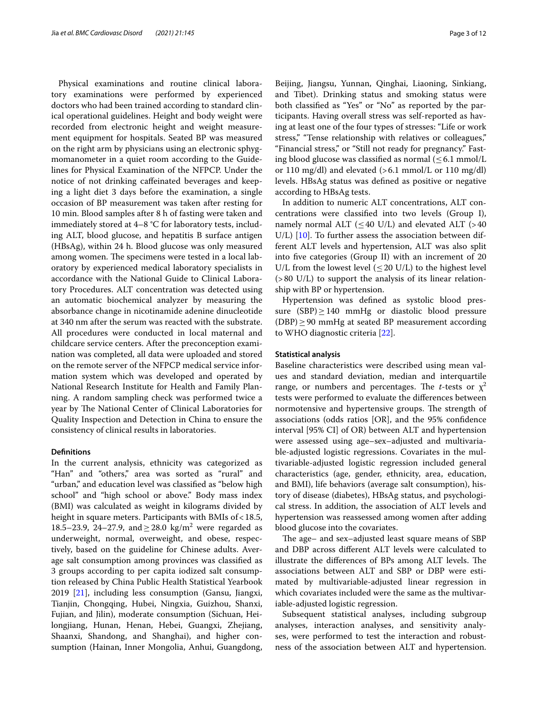Physical examinations and routine clinical laboratory examinations were performed by experienced doctors who had been trained according to standard clinical operational guidelines. Height and body weight were recorded from electronic height and weight measurement equipment for hospitals. Seated BP was measured on the right arm by physicians using an electronic sphygmomanometer in a quiet room according to the Guidelines for Physical Examination of the NFPCP. Under the notice of not drinking cafeinated beverages and keeping a light diet 3 days before the examination, a single occasion of BP measurement was taken after resting for 10 min. Blood samples after 8 h of fasting were taken and immediately stored at 4–8 °C for laboratory tests, including ALT, blood glucose, and hepatitis B surface antigen (HBsAg), within 24 h. Blood glucose was only measured among women. The specimens were tested in a local laboratory by experienced medical laboratory specialists in accordance with the National Guide to Clinical Laboratory Procedures. ALT concentration was detected using an automatic biochemical analyzer by measuring the absorbance change in nicotinamide adenine dinucleotide at 340 nm after the serum was reacted with the substrate. All procedures were conducted in local maternal and childcare service centers. After the preconception examination was completed, all data were uploaded and stored on the remote server of the NFPCP medical service information system which was developed and operated by National Research Institute for Health and Family Planning. A random sampling check was performed twice a year by The National Center of Clinical Laboratories for Quality Inspection and Detection in China to ensure the consistency of clinical results in laboratories.

#### **Defnitions**

In the current analysis, ethnicity was categorized as "Han" and "others," area was sorted as "rural" and "urban," and education level was classifed as "below high school" and "high school or above." Body mass index (BMI) was calculated as weight in kilograms divided by height in square meters. Participants with BMIs of < 18.5, 18.5–23.9, 24–27.9, and  $\geq$  28.0 kg/m<sup>2</sup> were regarded as underweight, normal, overweight, and obese, respectively, based on the guideline for Chinese adults. Average salt consumption among provinces was classifed as 3 groups according to per capita iodized salt consumption released by China Public Health Statistical Yearbook 2019 [\[21\]](#page-11-13), including less consumption (Gansu, Jiangxi, Tianjin, Chongqing, Hubei, Ningxia, Guizhou, Shanxi, Fujian, and Jilin), moderate consumption (Sichuan, Heilongjiang, Hunan, Henan, Hebei, Guangxi, Zhejiang, Shaanxi, Shandong, and Shanghai), and higher consumption (Hainan, Inner Mongolia, Anhui, Guangdong,

Beijing, Jiangsu, Yunnan, Qinghai, Liaoning, Sinkiang, and Tibet). Drinking status and smoking status were both classifed as "Yes" or "No" as reported by the participants. Having overall stress was self-reported as having at least one of the four types of stresses: "Life or work stress," "Tense relationship with relatives or colleagues," "Financial stress," or "Still not ready for pregnancy." Fasting blood glucose was classified as normal  $(\leq 6.1 \text{ mmol/L})$ or 110 mg/dl) and elevated (>6.1 mmol/L or 110 mg/dl) levels. HBsAg status was defned as positive or negative according to HBsAg tests.

In addition to numeric ALT concentrations, ALT concentrations were classifed into two levels (Group I), namely normal ALT ( $\leq$  40 U/L) and elevated ALT (>40 U/L)  $[10]$  $[10]$ . To further assess the association between different ALT levels and hypertension, ALT was also split into fve categories (Group II) with an increment of 20 U/L from the lowest level  $(\leq 20 \text{ U/L})$  to the highest level (>80 U/L) to support the analysis of its linear relationship with BP or hypertension.

Hypertension was defned as systolic blood pressure (SBP) > 140 mmHg or diastolic blood pressure  $(DBP) \geq 90$  mmHg at seated BP measurement according to WHO diagnostic criteria [\[22](#page-11-14)].

#### **Statistical analysis**

Baseline characteristics were described using mean values and standard deviation, median and interquartile range, or numbers and percentages. The *t*-tests or  $\chi^2$ tests were performed to evaluate the diferences between normotensive and hypertensive groups. The strength of associations (odds ratios [OR], and the 95% confdence interval [95% CI] of OR) between ALT and hypertension were assessed using age–sex–adjusted and multivariable-adjusted logistic regressions. Covariates in the multivariable-adjusted logistic regression included general characteristics (age, gender, ethnicity, area, education, and BMI), life behaviors (average salt consumption), history of disease (diabetes), HBsAg status, and psychological stress. In addition, the association of ALT levels and hypertension was reassessed among women after adding blood glucose into the covariates.

The age– and sex–adjusted least square means of SBP and DBP across diferent ALT levels were calculated to illustrate the differences of BPs among ALT levels. The associations between ALT and SBP or DBP were estimated by multivariable-adjusted linear regression in which covariates included were the same as the multivariable-adjusted logistic regression.

Subsequent statistical analyses, including subgroup analyses, interaction analyses, and sensitivity analyses, were performed to test the interaction and robustness of the association between ALT and hypertension.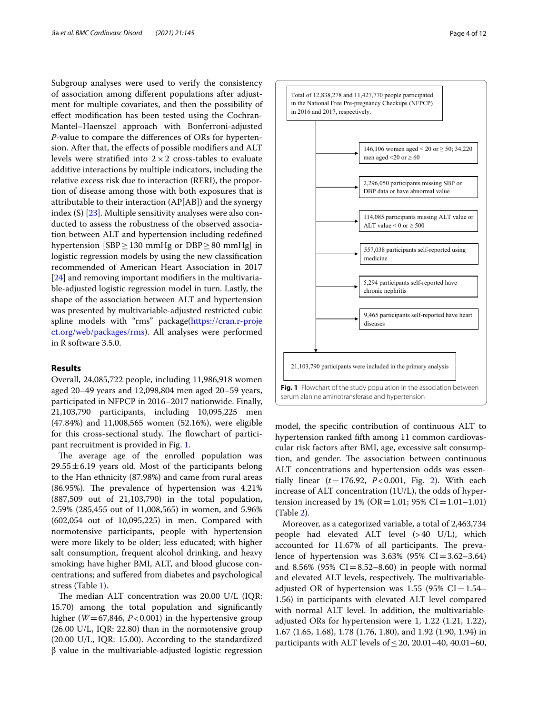Subgroup analyses were used to verify the consistency of association among diferent populations after adjustment for multiple covariates, and then the possibility of efect modifcation has been tested using the Cochran-Mantel–Haenszel approach with Bonferroni-adjusted *P*-value to compare the diferences of ORs for hypertension. After that, the efects of possible modifers and ALT levels were stratified into  $2 \times 2$  cross-tables to evaluate additive interactions by multiple indicators, including the relative excess risk due to interaction (RERI), the proportion of disease among those with both exposures that is attributable to their interaction (AP[AB]) and the synergy index (S) [\[23](#page-11-15)]. Multiple sensitivity analyses were also conducted to assess the robustness of the observed association between ALT and hypertension including redefned hypertension [SBP≥130 mmHg or DBP≥80 mmHg] in logistic regression models by using the new classifcation recommended of American Heart Association in 2017 [[24\]](#page-11-16) and removing important modifiers in the multivariable-adjusted logistic regression model in turn. Lastly, the shape of the association between ALT and hypertension was presented by multivariable-adjusted restricted cubic spline models with "rms" package[\(https://cran.r-proje](https://cran.r-project.org/web/packages/rms) [ct.org/web/packages/rms](https://cran.r-project.org/web/packages/rms)). All analyses were performed in R software 3.5.0.

#### **Results**

Overall, 24,085,722 people, including 11,986,918 women aged 20–49 years and 12,098,804 men aged 20–59 years, participated in NFPCP in 2016–2017 nationwide. Finally, 21,103,790 participants, including 10,095,225 men (47.84%) and 11,008,565 women (52.16%), were eligible for this cross-sectional study. The flowchart of participant recruitment is provided in Fig. [1.](#page-3-0)

The average age of the enrolled population was  $29.55 \pm 6.19$  years old. Most of the participants belong to the Han ethnicity (87.98%) and came from rural areas  $(86.95\%)$ . The prevalence of hypertension was  $4.21\%$ (887,509 out of 21,103,790) in the total population, 2.59% (285,455 out of 11,008,565) in women, and 5.96% (602,054 out of 10,095,225) in men. Compared with normotensive participants, people with hypertension were more likely to be older; less educated; with higher salt consumption, frequent alcohol drinking, and heavy smoking; have higher BMI, ALT, and blood glucose concentrations; and sufered from diabetes and psychological stress (Table [1\)](#page-4-0).

The median ALT concentration was 20.00 U/L (IQR: 15.70) among the total population and signifcantly higher ( $W = 67,846, P < 0.001$ ) in the hypertensive group (26.00 U/L, IQR: 22.80) than in the normotensive group (20.00 U/L, IQR: 15.00). According to the standardized β value in the multivariable-adjusted logistic regression 21,103,790 participants were included in the primary analysis diseases

9,465 participants self-reported have heart

<span id="page-3-0"></span>**Fig. 1** Flowchart of the study population in the association between serum alanine aminotransferase and hypertension

model, the specifc contribution of continuous ALT to hypertension ranked ffth among 11 common cardiovascular risk factors after BMI, age, excessive salt consumption, and gender. The association between continuous ALT concentrations and hypertension odds was essentially linear (*t*=176.92, *P*<0.001, Fig. [2](#page-5-0)). With each increase of ALT concentration (1U/L), the odds of hypertension increased by  $1\%$  (OR = 1.01; 95% CI = 1.01–1.01) (Table [2\)](#page-5-1).

Moreover, as a categorized variable, a total of 2,463,734 people had elevated ALT level (>40 U/L), which accounted for 11.67% of all participants. The prevalence of hypertension was  $3.63\%$  (95% CI=3.62–3.64) and 8.56% (95%  $CI = 8.52 - 8.60$ ) in people with normal and elevated ALT levels, respectively. The multivariableadjusted OR of hypertension was 1.55 (95%  $CI = 1.54-$ 1.56) in participants with elevated ALT level compared with normal ALT level. In addition, the multivariableadjusted ORs for hypertension were 1, 1.22 (1.21, 1.22), 1.67 (1.65, 1.68), 1.78 (1.76, 1.80), and 1.92 (1.90, 1.94) in participants with ALT levels of  $\leq$  20, 20.01–40, 40.01–60,

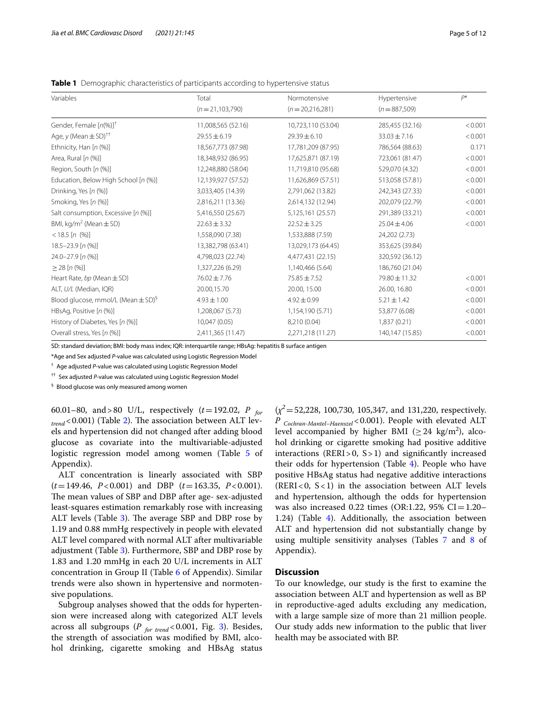<span id="page-4-0"></span>**Table 1** Demographic characteristics of participants according to hypertensive status

| Variables                                          | Total              | Normotensive       | Hypertensive     | $P^*$   |
|----------------------------------------------------|--------------------|--------------------|------------------|---------|
|                                                    | $(n=21,103,790)$   | $(n=20,216,281)$   | $(n=887,509)$    |         |
| Gender, Female $[n(\%)]^\dagger$                   | 11,008,565 (52.16) | 10,723,110 (53.04) | 285,455 (32.16)  | < 0.001 |
| Age, $y$ (Mean $\pm$ SD) <sup>††</sup>             | $29.55 \pm 6.19$   | $29.39 \pm 6.10$   | $33.03 \pm 7.16$ | < 0.001 |
| Ethnicity, Han [n (%)]                             | 18,567,773 (87.98) | 17,781,209 (87.95) | 786,564 (88.63)  | 0.171   |
| Area, Rural [n (%)]                                | 18,348,932 (86.95) | 17,625,871 (87.19) | 723,061 (81.47)  | < 0.001 |
| Region, South [n (%)]                              | 12,248,880 (58.04) | 11,719,810 (95.68) | 529,070 (4.32)   | < 0.001 |
| Education, Below High School [n (%)]               | 12,139,927 (57.52) | 11,626,869 (57.51) | 513,058 (57.81)  | < 0.001 |
| Drinking, Yes [n (%)]                              | 3,033,405 (14.39)  | 2,791,062 (13.82)  | 242,343 (27.33)  | < 0.001 |
| Smoking, Yes [n (%)]                               | 2,816,211 (13.36)  | 2,614,132 (12.94)  | 202,079 (22.79)  | < 0.001 |
| Salt consumption, Excessive [n (%)]                | 5,416,550 (25.67)  | 5,125,161 (25.57)  | 291,389 (33.21)  | < 0.001 |
| BMI, kg/m <sup>2</sup> (Mean $\pm$ SD)             | $22.63 \pm 3.32$   | $22.52 \pm 3.25$   | $25.04 \pm 4.06$ | < 0.001 |
| $<$ 18.5 [n (%)]                                   | 1,558,090 (7.38)   | 1,533,888 (7.59)   | 24,202 (2.73)    |         |
| $18.5 - 23.9$ [n $(\%)$ ]                          | 13,382,798 (63.41) | 13,029,173 (64.45) | 353,625 (39.84)  |         |
| $24.0 - 27.9$ [n $(\%)$ ]                          | 4,798,023 (22.74)  | 4,477,431 (22.15)  | 320,592 (36.12)  |         |
| $\geq$ 28 [n (%)]                                  | 1,327,226 (6.29)   | 1,140,466 (5.64)   | 186,760 (21.04)  |         |
| Heart Rate, bp (Mean $\pm$ SD)                     | $76.02 \pm 7.76$   | $75.85 \pm 7.52$   | 79.80 ± 11.32    | < 0.001 |
| ALT, U/L (Median, IQR)                             | 20.00,15.70        | 20.00, 15.00       | 26.00, 16.80     | < 0.001 |
| Blood glucose, mmol/L (Mean $\pm$ SD) <sup>§</sup> | $4.93 \pm 1.00$    | $4.92 \pm 0.99$    | $5.21 \pm 1.42$  | < 0.001 |
| HBsAg, Positive [n (%)]                            | 1,208,067 (5.73)   | 1,154,190 (5.71)   | 53,877 (6.08)    | < 0.001 |
| History of Diabetes, Yes [n (%)]                   | 10,047 (0.05)      | 8,210 (0.04)       | 1,837 (0.21)     | < 0.001 |
| Overall stress, Yes [n (%)]                        | 2,411,365 (11.47)  | 2,271,218 (11.27)  | 140,147 (15.85)  | < 0.001 |
|                                                    |                    |                    |                  |         |

SD: standard deviation; BMI: body mass index; IQR: interquartile range; HBsAg: hepatitis B surface antigen

\*Age and Sex adjusted *P*-value was calculated using Logistic Regression Model

† Age adjusted *P-*value was calculated using Logistic Regression Model

†† Sex adjusted *P-*value was calculated using Logistic Regression Model

§ Blood glucose was only measured among women

60.01–80, and>80 U/L, respectively (*t*=192.02, *P for*   $_{trend}$  < 0.001) (Table [2](#page-5-1)). The association between ALT levels and hypertension did not changed after adding blood glucose as covariate into the multivariable-adjusted logistic regression model among women (Table [5](#page-9-0) of Appendix).

ALT concentration is linearly associated with SBP (*t*=149.46, *P*<0.001) and DBP (*t*=163.35, *P*<0.001). The mean values of SBP and DBP after age- sex-adjusted least-squares estimation remarkably rose with increasing ALT levels (Table [3](#page-6-0)). The average SBP and DBP rose by 1.19 and 0.88 mmHg respectively in people with elevated ALT level compared with normal ALT after multivariable adjustment (Table [3](#page-6-0)). Furthermore, SBP and DBP rose by 1.83 and 1.20 mmHg in each 20 U/L increments in ALT concentration in Group II (Table [6](#page-9-1) of Appendix). Similar trends were also shown in hypertensive and normotensive populations.

Subgroup analyses showed that the odds for hypertension were increased along with categorized ALT levels across all subgroups (P for trend < 0.001, Fig. [3\)](#page-7-0). Besides, the strength of association was modifed by BMI, alcohol drinking, cigarette smoking and HBsAg status

 $(x^2 = 52,228, 100,730, 105,347,$  and 131,220, respectively. *P Cochran-Mantel–Haenszel*<0.001). People with elevated ALT level accompanied by higher BMI ( $\geq$  24 kg/m<sup>2</sup>), alcohol drinking or cigarette smoking had positive additive interactions ( $RERI > 0$ ,  $S > 1$ ) and significantly increased their odds for hypertension (Table [4](#page-8-0)). People who have positive HBsAg status had negative additive interactions  $(RERI < 0, S < 1)$  in the association between ALT levels and hypertension, although the odds for hypertension was also increased 0.22 times (OR:1.22, 95% CI=1.20– 1.24) (Table [4](#page-8-0)). Additionally, the association between ALT and hypertension did not substantially change by using multiple sensitivity analyses (Tables [7](#page-9-2) and [8](#page-10-5) of Appendix).

#### **Discussion**

To our knowledge, our study is the frst to examine the association between ALT and hypertension as well as BP in reproductive-aged adults excluding any medication, with a large sample size of more than 21 million people. Our study adds new information to the public that liver health may be associated with BP.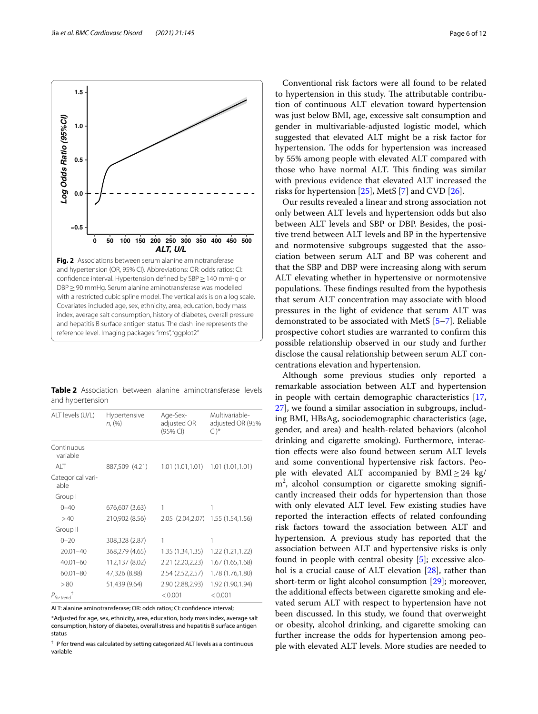Jia *et al. BMC Cardiovasc Disord (2021) 21:145* Page 6 of 12



<span id="page-5-1"></span><span id="page-5-0"></span>**Table 2** Association between alanine aminotransferase levels and hypertension

| ALT levels (U/L)          | Hypertensive<br>n, (%) | Age-Sex-<br>adjusted OR<br>(95% CI) | Multivariable-<br>adjusted OR (95%<br>$\Box$ <sup>*</sup> |
|---------------------------|------------------------|-------------------------------------|-----------------------------------------------------------|
| Continuous<br>variable    |                        |                                     |                                                           |
| AIT                       | 887,509 (4.21)         | 1.01 (1.01,1.01)                    | 1.01(1.01, 1.01)                                          |
| Categorical vari-<br>able |                        |                                     |                                                           |
| Group I                   |                        |                                     |                                                           |
| $0 - 40$                  | 676,607 (3.63)         | 1                                   | 1                                                         |
| >40                       | 210,902 (8.56)         | 2.05 (2.04, 2.07) 1.55 (1.54, 1.56) |                                                           |
| Group II                  |                        |                                     |                                                           |
| $0 - 20$                  | 308,328 (2.87)         | 1                                   | 1                                                         |
| $20.01 - 40$              | 368,279 (4.65)         | 1.35 (1.34,1.35)                    | 1.22 (1.21,1.22)                                          |
| $40.01 - 60$              | 112,137 (8.02)         | 2.21 (2.20,2.23)                    | 1.67 (1.65,1.68)                                          |
| $60.01 - 80$              | 47,326 (8.88)          | 2.54 (2.52, 2.57)                   | 1.78 (1.76,1.80)                                          |
| > 80                      | 51,439 (9.64)          | 2.90 (2.88,2.93)                    | 1.92 (1.90,1.94)                                          |
| $P_{\text{for trend}}$    |                        | < 0.001                             | < 0.001                                                   |
|                           |                        |                                     |                                                           |

ALT: alanine aminotransferase; OR: odds ratios; CI: confdence interval; \*Adjusted for age, sex, ethnicity, area, education, body mass index, average salt consumption, history of diabetes, overall stress and hepatitis B surface antigen status

† P for trend was calculated by setting categorized ALT levels as a continuous variable

Conventional risk factors were all found to be related to hypertension in this study. The attributable contribution of continuous ALT elevation toward hypertension was just below BMI, age, excessive salt consumption and gender in multivariable-adjusted logistic model, which suggested that elevated ALT might be a risk factor for hypertension. The odds for hypertension was increased by 55% among people with elevated ALT compared with those who have normal ALT. This finding was similar with previous evidence that elevated ALT increased the risks for hypertension [[25](#page-11-17)], MetS [\[7](#page-11-0)] and CVD [\[26\]](#page-11-18).

Our results revealed a linear and strong association not only between ALT levels and hypertension odds but also between ALT levels and SBP or DBP. Besides, the positive trend between ALT levels and BP in the hypertensive and normotensive subgroups suggested that the association between serum ALT and BP was coherent and that the SBP and DBP were increasing along with serum ALT elevating whether in hypertensive or normotensive populations. These findings resulted from the hypothesis that serum ALT concentration may associate with blood pressures in the light of evidence that serum ALT was demonstrated to be associated with MetS [\[5](#page-10-4)[–7](#page-11-0)]. Reliable prospective cohort studies are warranted to confrm this possible relationship observed in our study and further disclose the causal relationship between serum ALT concentrations elevation and hypertension.

Although some previous studies only reported a remarkable association between ALT and hypertension in people with certain demographic characteristics [[17](#page-11-9), [27\]](#page-11-19), we found a similar association in subgroups, including BMI, HBsAg, sociodemographic characteristics (age, gender, and area) and health-related behaviors (alcohol drinking and cigarette smoking). Furthermore, interaction efects were also found between serum ALT levels and some conventional hypertensive risk factors. People with elevated ALT accompanied by  $BMI \geq 24$  kg/ m<sup>2</sup>, alcohol consumption or cigarette smoking significantly increased their odds for hypertension than those with only elevated ALT level. Few existing studies have reported the interaction efects of related confounding risk factors toward the association between ALT and hypertension. A previous study has reported that the association between ALT and hypertensive risks is only found in people with central obesity [\[5\]](#page-10-4); excessive alcohol is a crucial cause of ALT elevation [\[28\]](#page-11-20), rather than short-term or light alcohol consumption [\[29\]](#page-11-21); moreover, the additional efects between cigarette smoking and elevated serum ALT with respect to hypertension have not been discussed. In this study, we found that overweight or obesity, alcohol drinking, and cigarette smoking can further increase the odds for hypertension among people with elevated ALT levels. More studies are needed to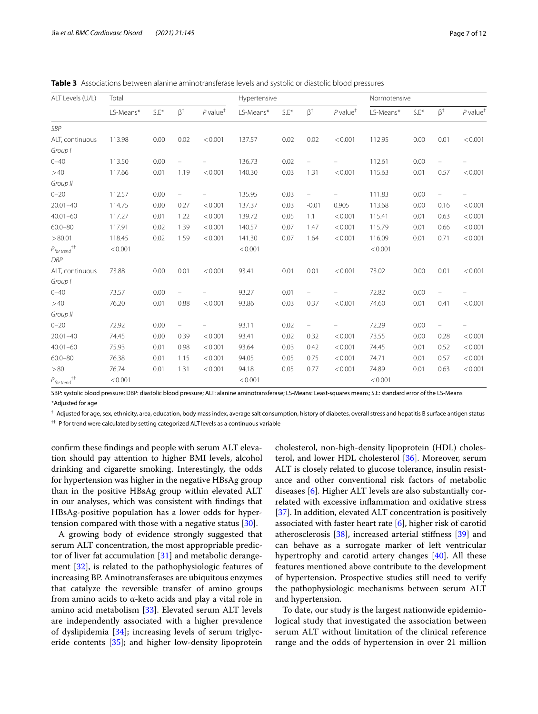<span id="page-6-0"></span>

| <b>Table 3</b> Associations between alanine aminotransferase levels and systolic or diastolic blood pressures |  |  |  |  |  |
|---------------------------------------------------------------------------------------------------------------|--|--|--|--|--|
|                                                                                                               |  |  |  |  |  |

| ALT Levels (U/L)                                                      | Total     |        |                   |                                     | Hypertensive |        |                   | Normotensive                        |           |        |           |                                     |
|-----------------------------------------------------------------------|-----------|--------|-------------------|-------------------------------------|--------------|--------|-------------------|-------------------------------------|-----------|--------|-----------|-------------------------------------|
|                                                                       | LS-Means* | $S.E*$ | $\beta^{\dagger}$ | $P$ value <sup><math>†</math></sup> | LS-Means*    | $S.E*$ | $\beta^{\dagger}$ | $P$ value <sup><math>†</math></sup> | LS-Means* | $S.E*$ | $\beta^+$ | $P$ value <sup><math>†</math></sup> |
| <b>SBP</b>                                                            |           |        |                   |                                     |              |        |                   |                                     |           |        |           |                                     |
| ALT, continuous                                                       | 113.98    | 0.00   | 0.02              | < 0.001                             | 137.57       | 0.02   | 0.02              | < 0.001                             | 112.95    | 0.00   | 0.01      | < 0.001                             |
| Group I                                                               |           |        |                   |                                     |              |        |                   |                                     |           |        |           |                                     |
| $0 - 40$                                                              | 113.50    | 0.00   |                   |                                     | 136.73       | 0.02   |                   |                                     | 112.61    | 0.00   |           |                                     |
| >40                                                                   | 117.66    | 0.01   | 1.19              | < 0.001                             | 140.30       | 0.03   | 1.31              | < 0.001                             | 115.63    | 0.01   | 0.57      | < 0.001                             |
| Group II                                                              |           |        |                   |                                     |              |        |                   |                                     |           |        |           |                                     |
| $0 - 20$                                                              | 112.57    | 0.00   |                   |                                     | 135.95       | 0.03   |                   |                                     | 111.83    | 0.00   |           |                                     |
| $20.01 - 40$                                                          | 114.75    | 0.00   | 0.27              | < 0.001                             | 137.37       | 0.03   | $-0.01$           | 0.905                               | 113.68    | 0.00   | 0.16      | < 0.001                             |
| $40.01 - 60$                                                          | 117.27    | 0.01   | 1.22              | < 0.001                             | 139.72       | 0.05   | 1.1               | < 0.001                             | 115.41    | 0.01   | 0.63      | < 0.001                             |
| $60.0 - 80$                                                           | 117.91    | 0.02   | 1.39              | < 0.001                             | 140.57       | 0.07   | 1.47              | < 0.001                             | 115.79    | 0.01   | 0.66      | < 0.001                             |
| > 80.01                                                               | 118.45    | 0.02   | 1.59              | < 0.001                             | 141.30       | 0.07   | 1.64              | < 0.001                             | 116.09    | 0.01   | 0.71      | < 0.001                             |
| $P_{\mathit{for trend}}^{\qquad \qquad \dagger\dagger}$<br><b>DBP</b> | < 0.001   |        |                   |                                     | < 0.001      |        |                   |                                     | < 0.001   |        |           |                                     |
| ALT, continuous                                                       | 73.88     | 0.00   | 0.01              | < 0.001                             | 93.41        | 0.01   | 0.01              | < 0.001                             | 73.02     | 0.00   | 0.01      | < 0.001                             |
| Group I                                                               |           |        |                   |                                     |              |        |                   |                                     |           |        |           |                                     |
| $0 - 40$                                                              | 73.57     | 0.00   | $\qquad \qquad -$ |                                     | 93.27        | 0.01   | $\equiv$          |                                     | 72.82     | 0.00   |           |                                     |
| >40                                                                   | 76.20     | 0.01   | 0.88              | < 0.001                             | 93.86        | 0.03   | 0.37              | < 0.001                             | 74.60     | 0.01   | 0.41      | < 0.001                             |
| Group II                                                              |           |        |                   |                                     |              |        |                   |                                     |           |        |           |                                     |
| $0 - 20$                                                              | 72.92     | 0.00   | $\equiv$          |                                     | 93.11        | 0.02   | $\qquad \qquad -$ |                                     | 72.29     | 0.00   |           |                                     |
| $20.01 - 40$                                                          | 74.45     | 0.00   | 0.39              | < 0.001                             | 93.41        | 0.02   | 0.32              | < 0.001                             | 73.55     | 0.00   | 0.28      | < 0.001                             |
| $40.01 - 60$                                                          | 75.93     | 0.01   | 0.98              | < 0.001                             | 93.64        | 0.03   | 0.42              | < 0.001                             | 74.45     | 0.01   | 0.52      | < 0.001                             |
| $60.0 - 80$                                                           | 76.38     | 0.01   | 1.15              | < 0.001                             | 94.05        | 0.05   | 0.75              | < 0.001                             | 74.71     | 0.01   | 0.57      | < 0.001                             |
| > 80                                                                  | 76.74     | 0.01   | 1.31              | < 0.001                             | 94.18        | 0.05   | 0.77              | < 0.001                             | 74.89     | 0.01   | 0.63      | < 0.001                             |
| $P_{\mathit{fortrend}}^{\phantom{\mathit{tt}+t} \dagger}$             | < 0.001   |        |                   |                                     | < 0.001      |        |                   |                                     | < 0.001   |        |           |                                     |

SBP: systolic blood pressure; DBP: diastolic blood pressure; ALT: alanine aminotransferase; LS-Means: Least-squares means; S.E: standard error of the LS-Means \*Adjusted for age

† Adjusted for age, sex, ethnicity, area, education, body mass index, average salt consumption, history of diabetes, overall stress and hepatitis B surface antigen status †† P for trend were calculated by setting categorized ALT levels as a continuous variable

confrm these fndings and people with serum ALT elevation should pay attention to higher BMI levels, alcohol drinking and cigarette smoking. Interestingly, the odds for hypertension was higher in the negative HBsAg group than in the positive HBsAg group within elevated ALT in our analyses, which was consistent with fndings that HBsAg-positive population has a lower odds for hypertension compared with those with a negative status [\[30](#page-11-22)].

A growing body of evidence strongly suggested that serum ALT concentration, the most appropriable predictor of liver fat accumulation [[31](#page-11-23)] and metabolic derangement [[32\]](#page-11-24), is related to the pathophysiologic features of increasing BP. Aminotransferases are ubiquitous enzymes that catalyze the reversible transfer of amino groups from amino acids to α-keto acids and play a vital role in amino acid metabolism [[33\]](#page-11-25). Elevated serum ALT levels are independently associated with a higher prevalence of dyslipidemia [[34\]](#page-11-26); increasing levels of serum triglyceride contents [[35\]](#page-11-27); and higher low-density lipoprotein cholesterol, non-high-density lipoprotein (HDL) cholesterol, and lower HDL cholesterol [\[36\]](#page-11-28). Moreover, serum ALT is closely related to glucose tolerance, insulin resistance and other conventional risk factors of metabolic diseases [[6\]](#page-10-6). Higher ALT levels are also substantially correlated with excessive infammation and oxidative stress [[37\]](#page-11-29). In addition, elevated ALT concentration is positively associated with faster heart rate  $[6]$  $[6]$ , higher risk of carotid atherosclerosis [\[38](#page-11-30)], increased arterial stifness [[39\]](#page-11-31) and can behave as a surrogate marker of left ventricular hypertrophy and carotid artery changes [\[40](#page-11-32)]. All these features mentioned above contribute to the development of hypertension. Prospective studies still need to verify the pathophysiologic mechanisms between serum ALT and hypertension.

To date, our study is the largest nationwide epidemiological study that investigated the association between serum ALT without limitation of the clinical reference range and the odds of hypertension in over 21 million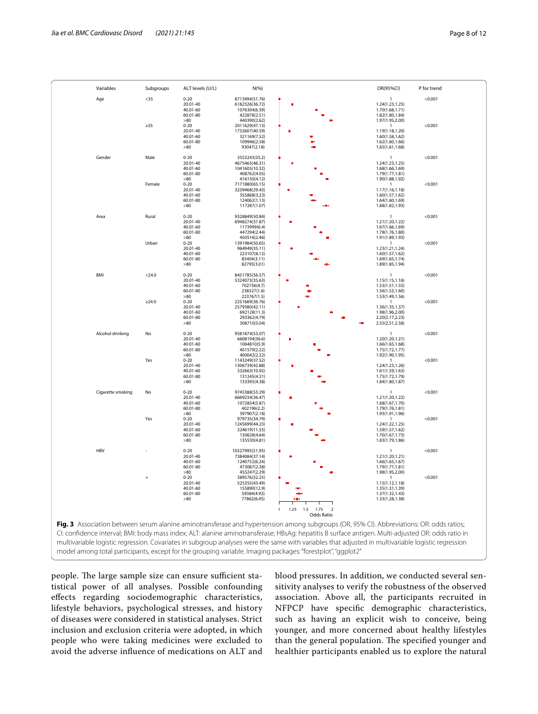| Variables         | Subgroups | ALT levels (U/L)     | N(%)                             |                                                                                                                                                    | OR(95%CI)                          | P for trend |
|-------------------|-----------|----------------------|----------------------------------|----------------------------------------------------------------------------------------------------------------------------------------------------|------------------------------------|-------------|
| Age               | $35$      | $0 - 20$             | 8713494(51.76)                   |                                                                                                                                                    | 1                                  | < 0.001     |
|                   |           | 20.01-40             | 6182326(36.72)                   |                                                                                                                                                    | 1.24(1.23,1.25)                    |             |
|                   |           | 40.01-60             | 1076304(6.39)                    |                                                                                                                                                    | 1.70(1.68,1.71)                    |             |
|                   |           | 60.01-80<br>>80      | 422878(2.51)<br>440390(2.62)     |                                                                                                                                                    | 1.82(1.80,1.84)<br>1.97(1.95,2.00) |             |
|                   | $\geq 35$ | $0 - 20$             | 2011629(47.13)                   |                                                                                                                                                    | $\mathbf{1}$                       | < 0.001     |
|                   |           | 20.01-40             | 1732607(40.59)                   |                                                                                                                                                    | 1.19(1.18,1.20)                    |             |
|                   |           | 40.01-60             | 321169(7.52)                     |                                                                                                                                                    | 1.60(1.58,1.62)                    |             |
|                   |           | 60.01-80             | 109946(2.58)                     |                                                                                                                                                    | 1.62(1.60,1.66)                    |             |
|                   |           | >80                  | 93047(2.18)                      |                                                                                                                                                    | 1.65(1.61,1.68)                    |             |
| Gender            | Male      | $0 - 20$             | 3553243(35.2)                    |                                                                                                                                                    | $\mathbf{1}$                       | < 0.001     |
|                   |           | 20.01-40             | 4675465(46.31)                   |                                                                                                                                                    | 1.24(1.23,1.25)                    |             |
|                   |           | 40.01-60             | 1041605(10.32)                   |                                                                                                                                                    | 1.68(1.66,1.69)                    |             |
|                   |           | 60.01-80             | 408762(4.05)                     |                                                                                                                                                    | 1.79(1.77,1.81)                    |             |
|                   |           | >80                  | 416150(4.12)                     |                                                                                                                                                    | 1.90(1.88,1.92)                    |             |
|                   | Female    | $0 - 20$<br>20.01-40 | 7171880(65.15)<br>3239468(29.43) |                                                                                                                                                    | 1<br>1.17(1.16,1.18)               | < 0.001     |
|                   |           | 40.01-60             | 355868(3.23)                     |                                                                                                                                                    | 1.60(1.57,1.62)                    |             |
|                   |           | 60.01-80             | 124062(1.13)                     |                                                                                                                                                    | 1.64(1.60,1.69)                    |             |
|                   |           | >80                  | 117287(1.07)                     |                                                                                                                                                    | 1.88(1.82,1.93)                    |             |
|                   |           |                      |                                  |                                                                                                                                                    |                                    |             |
| Area              | Rural     | $0 - 20$             | 9328849(50.84)<br>6948274(37.87) |                                                                                                                                                    | 1                                  | < 0.001     |
|                   |           | 20.01-40<br>40.01-60 | 1173999(6.4)                     |                                                                                                                                                    | 1.21(1.20,1.22)<br>1.67(1.66,1.69) |             |
|                   |           | 60.01-80             | 447294(2.44)                     |                                                                                                                                                    | 1.78(1.76,1.80)                    |             |
|                   |           | >80                  | 450516(2.46)                     |                                                                                                                                                    | 1.91(1.89,1.93)                    |             |
|                   | Urban     | $0 - 20$             | 1391984(50.65)                   |                                                                                                                                                    | $\mathbf{1}$                       | < 0.001     |
|                   |           | 20.01-40             | 964949(35.11)                    |                                                                                                                                                    | 1.23(1.21,1.24)                    |             |
|                   |           | 40.01-60<br>60.01-80 | 223107(8.12)<br>85404(3.11)      |                                                                                                                                                    | 1.60(1.57,1.62)<br>1.69(1.65,1.74) |             |
|                   |           | >80                  | 82795(3.01)                      |                                                                                                                                                    | 1.89(1.85,1.94)                    |             |
|                   |           |                      |                                  |                                                                                                                                                    |                                    |             |
| BMI               | $<$ 24.0  | $0 - 20$             | 8451785(56.57)                   |                                                                                                                                                    | 1                                  | < 0.001     |
|                   |           | 20.01-40             | 5324073(35.63)                   |                                                                                                                                                    | 1.15(1.15, 1.16)                   |             |
|                   |           | 40.01-60             | 702736(4.7)                      |                                                                                                                                                    | 1.53(1.51,1.55)                    |             |
|                   |           | 60.01-80<br>>80      | 238527(1.6)<br>223767(1.5)       |                                                                                                                                                    | 1.56(1.53,1.60)<br>1.53(1.49,1.56) |             |
|                   | >24.0     | $0 - 20$             | 2251669(36.76)                   |                                                                                                                                                    | 1                                  | < 0.001     |
|                   |           | 20.01-40             | 2579380(42.11)                   |                                                                                                                                                    | 1.36(1.35,1.37)                    |             |
|                   |           | 40.01-60             | 692128(11.3)                     |                                                                                                                                                    | 1.98(1.96,2.00)                    |             |
|                   |           | 60.01-80             | 293362(4.79)                     |                                                                                                                                                    | 2.20(2.17,2.23)                    |             |
|                   |           | $>\!\!80$            | 308710(5.04)                     |                                                                                                                                                    | 2.55(2.51,2.58)                    |             |
| Alcohol drinking  | No        | $0 - 20$             | 9581874(53.07)                   |                                                                                                                                                    |                                    | < 0.001     |
|                   |           | 20.01-40             | 6608194(36.6)                    |                                                                                                                                                    | 1.20(1.20,1.21)                    |             |
|                   |           | 40.01-60             | 1064810(5.9)                     |                                                                                                                                                    | 1.66(1.65,1.68)                    |             |
|                   |           | 60.01-80             | 401579(2.22)                     |                                                                                                                                                    | 1.75(1.72,1.77)                    |             |
|                   |           | >80                  | 400042(2.22)                     |                                                                                                                                                    | 1.92(1.90,1.95)                    |             |
|                   | Yes       | $0 - 20$<br>20.01-40 | 1143249(37.52)<br>1306739(42.88) |                                                                                                                                                    | 1<br>1.24(1.23,1.26)               | < 0.001     |
|                   |           | 40.01-60             | 332663(10.92)                    |                                                                                                                                                    | 1.61(1.59, 1.63)                   |             |
|                   |           | 60.01-80             | 131245(4.31)                     |                                                                                                                                                    | 1.75(1.72,1.79)                    |             |
|                   |           | >80                  | 133395(4.38)                     |                                                                                                                                                    | 1.84(1.80,1.87)                    |             |
|                   |           |                      |                                  |                                                                                                                                                    |                                    |             |
| Cigarette smoking | No        | $0 - 20$             | 9745388(53.29)                   |                                                                                                                                                    | 1                                  | < 0.001     |
|                   |           | 20.01-40<br>40.01-60 | 6669234(36.47)<br>1072854(5.87)  |                                                                                                                                                    | 1.21(1.20,1.22)<br>1.68(1.67,1.70) |             |
|                   |           | 60.01-80             | 402196(2.2)                      |                                                                                                                                                    | 1.79(1.76,1.81)                    |             |
|                   |           | $>\!\!80$            | 397907(2.18)                     |                                                                                                                                                    | 1.93(1.91,1.96)                    |             |
|                   | Yes       | $0 - 20$             | 979735(34.79)                    |                                                                                                                                                    | -1                                 | < 0.001     |
|                   |           | 20.01-40             | 1245699(44.23)                   |                                                                                                                                                    | 1.24(1.22,1.25)                    |             |
|                   |           | 40.01-60<br>60.01-80 | 324619(11.53)<br>130628(4.64)    |                                                                                                                                                    | 1.59(1.57,1.62)<br>1.70(1.67,1.73) |             |
|                   |           | >80                  | 135530(4.81)                     |                                                                                                                                                    | 1.83(1.79,1.86)                    |             |
|                   |           |                      |                                  |                                                                                                                                                    |                                    |             |
| <b>HBV</b>        |           | $0 - 20$             | 10327995(51.95)                  |                                                                                                                                                    | 1                                  | < 0.001     |
|                   |           | 20.01-40             | 7384084(37.14)                   |                                                                                                                                                    | 1.21(1.20,1.21)                    |             |
|                   |           | 40.01-60             | 1240752(6.24)<br>473087(2.38)    |                                                                                                                                                    | 1.66(1.65,1.67)                    |             |
|                   |           | 60.01-80<br>>80      | 455247(2.29)                     |                                                                                                                                                    | 1.79(1.77,1.81)<br>1.98(1.95,2.00) |             |
|                   |           | $0 - 20$             | 389576(32.25)                    |                                                                                                                                                    | $\mathbf{1}$                       | < 0.001     |
|                   |           | 20.01-40             | 525355(43.49)                    |                                                                                                                                                    | 1.15(1.12,1.18)                    |             |
|                   |           | 40.01-60             | 155890(12.9)                     |                                                                                                                                                    | 1.35(1.31,1.39)                    |             |
|                   |           | 60.01-80             | 59384(4.92)                      |                                                                                                                                                    | 1.37(1.32,1.43)                    |             |
|                   |           | >80                  | 77862(6.45)                      |                                                                                                                                                    | 1.33(1.28,1.38)                    |             |
|                   |           |                      |                                  | $\mathbf{1}$<br>1.25<br>1.5 1.75<br>$\overline{2}$                                                                                                 |                                    |             |
|                   |           |                      |                                  | <b>Odds Ratio</b>                                                                                                                                  |                                    |             |
|                   |           |                      |                                  |                                                                                                                                                    |                                    |             |
|                   |           |                      |                                  | Fig. 3 Association between serum alanine aminotransferase and hypertension among subgroups (OR, 95% CI). Abbreviations: OR: odds ratios;           |                                    |             |
|                   |           |                      |                                  | CI: confidence interval; BMI: body mass index; ALT: alanine aminotransferase; HBsAg: hepatitis B surface antigen. Multi-adjusted OR: odds ratio in |                                    |             |
|                   |           |                      |                                  |                                                                                                                                                    |                                    |             |
|                   |           |                      |                                  | multivariable logistic regression. Covariates in subgroup analyses were the same with variables that adjusted in multivariable logistic regression |                                    |             |
|                   |           |                      |                                  | model among total participants, except for the grouping variable. Imaging packages: "forestplot", "ggplot2"                                        |                                    |             |

<span id="page-7-0"></span>people. The large sample size can ensure sufficient statistical power of all analyses. Possible confounding efects regarding sociodemographic characteristics, lifestyle behaviors, psychological stresses, and history of diseases were considered in statistical analyses. Strict inclusion and exclusion criteria were adopted, in which people who were taking medicines were excluded to avoid the adverse infuence of medications on ALT and blood pressures. In addition, we conducted several sensitivity analyses to verify the robustness of the observed association. Above all, the participants recruited in NFPCP have specifc demographic characteristics, such as having an explicit wish to conceive, being younger, and more concerned about healthy lifestyles than the general population. The specified younger and healthier participants enabled us to explore the natural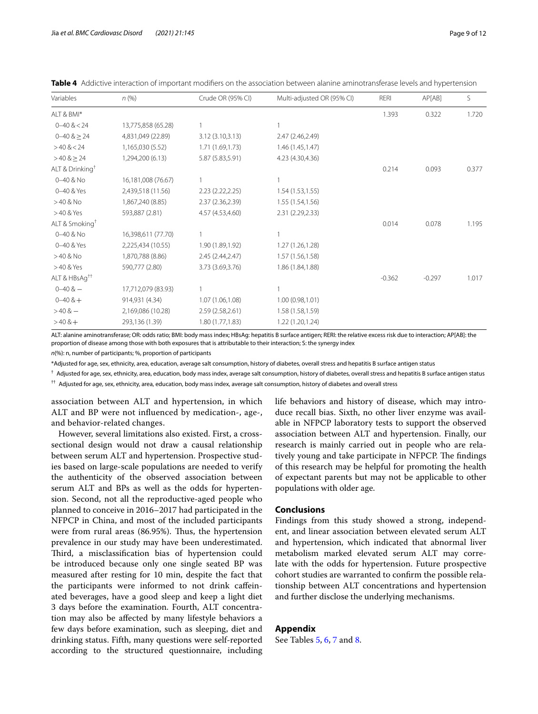| Page 9 of 12 |  |  |
|--------------|--|--|
|--------------|--|--|

<span id="page-8-0"></span>

| Table 4 Addictive interaction of important modifiers on the association between alanine aminotransferase levels and hypertension |  |  |  |  |
|----------------------------------------------------------------------------------------------------------------------------------|--|--|--|--|
|                                                                                                                                  |  |  |  |  |
|                                                                                                                                  |  |  |  |  |

| Variables                   | $n$ (%)            | Crude OR (95% CI) | Multi-adjusted OR (95% CI) | RERI     | AP[AB]   | S     |
|-----------------------------|--------------------|-------------------|----------------------------|----------|----------|-------|
| ALT & BMI*                  |                    |                   |                            | 1.393    | 0.322    | 1.720 |
| $0 - 40 < 24$               | 13,775,858 (65.28) |                   | 1                          |          |          |       |
| $0 - 40$ $8 \ge 24$         | 4,831,049 (22.89)  | 3.12 (3.10,3.13)  | 2.47 (2.46,2.49)           |          |          |       |
| $>40$ & $< 24$              | 1,165,030 (5.52)   | 1.71 (1.69,1.73)  | 1.46(1.45, 1.47)           |          |          |       |
| $>40$ & $\geq$ 24           | 1,294,200 (6.13)   | 5.87 (5.83,5.91)  | 4.23 (4.30,4.36)           |          |          |       |
| ALT & Drinking <sup>†</sup> |                    |                   |                            | 0.214    | 0.093    | 0.377 |
| 0-40 & No                   | 16,181,008 (76.67) |                   |                            |          |          |       |
| 0-40 & Yes                  | 2,439,518 (11.56)  | 2.23(2.22,2.25)   | 1.54(1.53, 1.55)           |          |          |       |
| $>40$ & No                  | 1,867,240 (8.85)   | 2.37 (2.36,2.39)  | 1.55 (1.54,1.56)           |          |          |       |
| >40 & Yes                   | 593,887 (2.81)     | 4.57 (4.53,4.60)  | 2.31 (2.29,2.33)           |          |          |       |
| ALT & Smoking <sup>†</sup>  |                    |                   |                            | 0.014    | 0.078    | 1.195 |
| 0-40 & No                   | 16,398,611 (77.70) |                   | 1                          |          |          |       |
| 0-40 & Yes                  | 2,225,434 (10.55)  | 1.90 (1.89,1.92)  | 1.27 (1.26,1.28)           |          |          |       |
| $>40$ & No                  | 1,870,788 (8.86)   | 2.45 (2.44,2.47)  | 1.57 (1.56,1.58)           |          |          |       |
| >40 & Yes                   | 590,777 (2.80)     | 3.73 (3.69,3.76)  | 1.86 (1.84, 1.88)          |          |          |       |
| ALT & HBsAg <sup>++</sup>   |                    |                   |                            | $-0.362$ | $-0.297$ | 1.017 |
| $0 - 40 & -$                | 17,712,079 (83.93) |                   | 1                          |          |          |       |
| $0 - 40$ & +                | 914,931 (4.34)     | 1.07 (1.06,1.08)  | 1.00(0.98, 1.01)           |          |          |       |
| $>40.8-$                    | 2,169,086 (10.28)  | 2.59 (2.58, 2.61) | 1.58 (1.58,1.59)           |          |          |       |
| $>40.8+$                    | 293,136 (1.39)     | 1.80 (1.77,1.83)  | 1.22 (1.20,1.24)           |          |          |       |

ALT: alanine aminotransferase; OR: odds ratio; BMI: body mass index; HBsAg: hepatitis B surface antigen; RERI: the relative excess risk due to interaction; AP[AB]: the proportion of disease among those with both exposures that is attributable to their interaction; S: the synergy index

*n*(%): n, number of participants; %, proportion of participants

\*Adjusted for age, sex, ethnicity, area, education, average salt consumption, history of diabetes, overall stress and hepatitis B surface antigen status

† Adjusted for age, sex, ethnicity, area, education, body mass index, average salt consumption, history of diabetes, overall stress and hepatitis B surface antigen status

†† Adjusted for age, sex, ethnicity, area, education, body mass index, average salt consumption, history of diabetes and overall stress

association between ALT and hypertension, in which ALT and BP were not infuenced by medication-, age-, and behavior-related changes.

However, several limitations also existed. First, a crosssectional design would not draw a causal relationship between serum ALT and hypertension. Prospective studies based on large-scale populations are needed to verify the authenticity of the observed association between serum ALT and BPs as well as the odds for hypertension. Second, not all the reproductive-aged people who planned to conceive in 2016–2017 had participated in the NFPCP in China, and most of the included participants were from rural areas (86.95%). Thus, the hypertension prevalence in our study may have been underestimated. Third, a misclassification bias of hypertension could be introduced because only one single seated BP was measured after resting for 10 min, despite the fact that the participants were informed to not drink cafeinated beverages, have a good sleep and keep a light diet 3 days before the examination. Fourth, ALT concentration may also be afected by many lifestyle behaviors a few days before examination, such as sleeping, diet and drinking status. Fifth, many questions were self-reported according to the structured questionnaire, including life behaviors and history of disease, which may introduce recall bias. Sixth, no other liver enzyme was available in NFPCP laboratory tests to support the observed association between ALT and hypertension. Finally, our research is mainly carried out in people who are relatively young and take participate in NFPCP. The findings of this research may be helpful for promoting the health of expectant parents but may not be applicable to other populations with older age.

#### **Conclusions**

Findings from this study showed a strong, independent, and linear association between elevated serum ALT and hypertension, which indicated that abnormal liver metabolism marked elevated serum ALT may correlate with the odds for hypertension. Future prospective cohort studies are warranted to confrm the possible relationship between ALT concentrations and hypertension and further disclose the underlying mechanisms.

#### **Appendix**

See Tables [5](#page-9-0), [6,](#page-9-1) [7](#page-9-2) and [8](#page-10-5).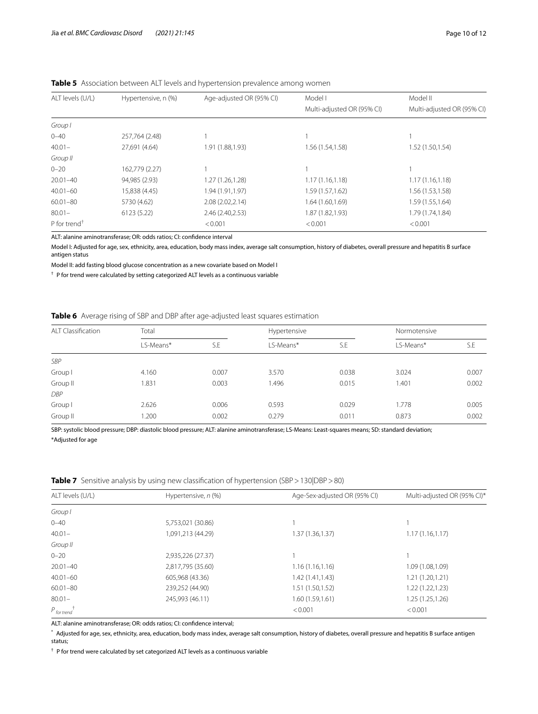| ALT levels (U/L)         | Hypertensive, n (%) | Age-adjusted OR (95% CI) | Model I                    | Model II                   |
|--------------------------|---------------------|--------------------------|----------------------------|----------------------------|
|                          |                     |                          | Multi-adjusted OR (95% CI) | Multi-adjusted OR (95% CI) |
| Group I                  |                     |                          |                            |                            |
| $0 - 40$                 | 257,764 (2.48)      |                          |                            |                            |
| $40.01 -$                | 27,691 (4.64)       | 1.91 (1.88,1.93)         | 1.56 (1.54,1.58)           | 1.52 (1.50,1.54)           |
| Group II                 |                     |                          |                            |                            |
| $0 - 20$                 | 162,779 (2.27)      |                          |                            |                            |
| $20.01 - 40$             | 94,985 (2.93)       | 1.27 (1.26,1.28)         | 1.17(1.16, 1.18)           | 1.17(1.16, 1.18)           |
| $40.01 - 60$             | 15,838 (4.45)       | 1.94 (1.91,1.97)         | 1.59 (1.57,1.62)           | 1.56 (1.53,1.58)           |
| $60.01 - 80$             | 5730 (4.62)         | 2.08 (2.02,2.14)         | 1.64 (1.60,1.69)           | 1.59 (1.55,1.64)           |
| $80.01 -$                | 6123 (5.22)         | 2.46 (2.40,2.53)         | 1.87 (1.82,1.93)           | 1.79 (1.74,1.84)           |
| P for trend <sup>+</sup> |                     | < 0.001                  | < 0.001                    | < 0.001                    |

<span id="page-9-0"></span>**Table 5** Association between ALT levels and hypertension prevalence among women

ALT: alanine aminotransferase; OR: odds ratios; CI: confdence interval

Model I: Adjusted for age, sex, ethnicity, area, education, body mass index, average salt consumption, history of diabetes, overall pressure and hepatitis B surface antigen status

Model II: add fasting blood glucose concentration as a new covariate based on Model I

† P for trend were calculated by setting categorized ALT levels as a continuous variable

<span id="page-9-1"></span>

| ALT Classification | Total     |       | Hypertensive | Normotensive |           |       |
|--------------------|-----------|-------|--------------|--------------|-----------|-------|
|                    | LS-Means* | S.E   | LS-Means*    | S.E          | LS-Means* | S.E   |
| SBP                |           |       |              |              |           |       |
| Group I            | 4.160     | 0.007 | 3.570        | 0.038        | 3.024     | 0.007 |
| Group II           | .831      | 0.003 | 1.496        | 0.015        | 1.401     | 0.002 |
| <b>DBP</b>         |           |       |              |              |           |       |
| Group I            | 2.626     | 0.006 | 0.593        | 0.029        | 1.778     | 0.005 |
| Group II           | .200      | 0.002 | 0.279        | 0.011        | 0.873     | 0.002 |

SBP: systolic blood pressure; DBP: diastolic blood pressure; ALT: alanine aminotransferase; LS-Means: Least-squares means; SD: standard deviation; \*Adjusted for age

<span id="page-9-2"></span>**Table 7** Sensitive analysis by using new classification of hypertension (SBP > 130|DBP > 80)

| ALT levels (U/L)                 | Hypertensive, n (%) | Age-Sex-adjusted OR (95% CI) | Multi-adjusted OR (95% CI)* |
|----------------------------------|---------------------|------------------------------|-----------------------------|
| Group I                          |                     |                              |                             |
| $0 - 40$                         | 5,753,021 (30.86)   |                              |                             |
| $40.01 -$                        | 1,091,213 (44.29)   | 1.37(1.36, 1.37)             | 1.17(1.16, 1.17)            |
| Group II                         |                     |                              |                             |
| $0 - 20$                         | 2,935,226 (27.37)   |                              |                             |
| $20.01 - 40$                     | 2,817,795 (35.60)   | 1.16(1.16, 1.16)             | 1.09 (1.08,1.09)            |
| $40.01 - 60$                     | 605,968 (43.36)     | 1.42 (1.41,1.43)             | 1.21(1.20, 1.21)            |
| $60.01 - 80$                     | 239,252 (44.90)     | 1.51 (1.50,1.52)             | 1.22 (1.22,1.23)            |
| $80.01 -$                        | 245,993 (46.11)     | 1.60(1.59, 1.61)             | 1.25 (1.25,1.26)            |
| $P_{\text{for trend}}^{\dagger}$ |                     | < 0.001                      | < 0.001                     |

ALT: alanine aminotransferase; OR: odds ratios; CI: confdence interval;

\* Adjusted for age, sex, ethnicity, area, education, body mass index, average salt consumption, history of diabetes, overall pressure and hepatitis B surface antigen status;

 $^{\dagger}$  P for trend were calculated by set categorized ALT levels as a continuous variable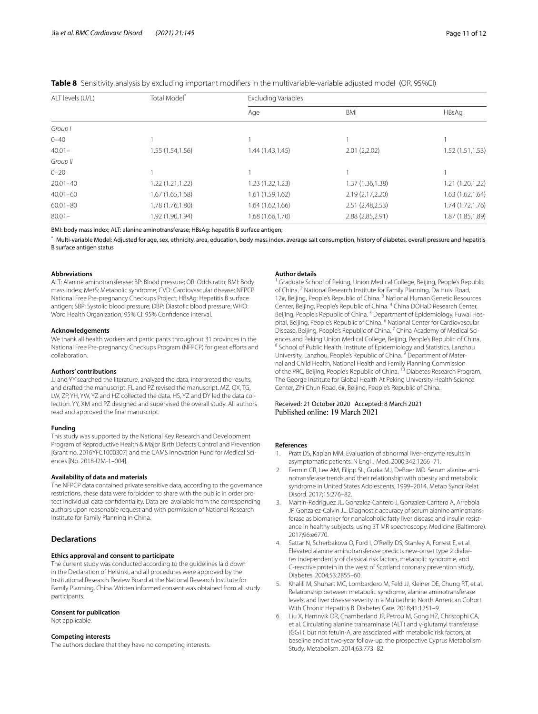| ALT levels (U/L) | Total Model <sup>*</sup> | <b>Excluding Variables</b> |                   |                  |
|------------------|--------------------------|----------------------------|-------------------|------------------|
|                  |                          | Age                        | <b>BMI</b>        | HBsAg            |
| Group I          |                          |                            |                   |                  |
| $0 - 40$         |                          |                            |                   |                  |
| $40.01 -$        | 1.55 (1.54,1.56)         | 1.44 (1.43,1.45)           | 2.01(2,2.02)      | 1.52 (1.51,1.53) |
| Group II         |                          |                            |                   |                  |
| $0 - 20$         |                          |                            |                   |                  |
| $20.01 - 40$     | 1.22(1.21, 1.22)         | 1.23(1.22, 1.23)           | 1.37(1.36, 1.38)  | 1.21 (1.20,1.22) |
| $40.01 - 60$     | 1.67(1.65, 1.68)         | 1.61(1.59, 1.62)           | 2.19 (2.17, 2.20) | 1.63 (1.62,1.64) |
| $60.01 - 80$     | 1.78 (1.76,1.80)         | 1.64 (1.62,1.66)           | 2.51 (2.48,2.53)  | 1.74 (1.72,1.76) |
| $80.01 -$        | 1.92 (1.90,1.94)         | 1.68(1.66, 1.70)           | 2.88 (2.85, 2.91) | 1.87 (1.85,1.89) |

<span id="page-10-5"></span>**Table 8** Sensitivity analysis by excluding important modifers in the multivariable-variable adjusted model (OR, 95%CI)

BMI: body mass index; ALT: alanine aminotransferase; HBsAg: hepatitis B surface antigen;

Multi-variable Model: Adjusted for age, sex, ethnicity, area, education, body mass index, average salt consumption, history of diabetes, overall pressure and hepatitis B surface antigen status

#### **Abbreviations**

ALT: Alanine aminotransferase; BP: Blood pressure; OR: Odds ratio; BMI: Body mass index; MetS: Metabolic syndrome; CVD: Cardiovascular disease; NFPCP: National Free Pre-pregnancy Checkups Project; HBsAg: Hepatitis B surface antigen; SBP: Systolic blood pressure; DBP: Diastolic blood pressure; WHO: Word Health Organization; 95% CI: 95% Confdence interval.

#### **Acknowledgements**

We thank all health workers and participants throughout 31 provinces in the National Free Pre-pregnancy Checkups Program (NFPCP) for great eforts and collaboration.

#### **Authors' contributions**

JJ and YY searched the literature, analyzed the data, interpreted the results, and drafted the manuscript. FL and PZ revised the manuscript. MZ, QX, TG, LW, ZP, YH, YW, YZ and HZ collected the data. HS, YZ and DY led the data collection. YY, XM and PZ designed and supervised the overall study. All authors read and approved the fnal manuscript.

#### **Funding**

This study was supported by the National Key Research and Development Program of Reproductive Health & Major Birth Defects Control and Prevention [Grant no. 2016YFC1000307] and the CAMS Innovation Fund for Medical Sciences [No. 2018-I2M-1–004].

#### **Availability of data and materials**

The NFPCP data contained private sensitive data, according to the governance restrictions, these data were forbidden to share with the public in order protect individual data confdentiality. Data are available from the corresponding authors upon reasonable request and with permission of National Research Institute for Family Planning in China.

#### **Declarations**

#### **Ethics approval and consent to participate**

The current study was conducted according to the guidelines laid down in the Declaration of Helsinki, and all procedures were approved by the Institutional Research Review Board at the National Research Institute for Family Planning, China. Written informed consent was obtained from all study participants.

#### **Consent for publication**

Not applicable.

#### **Competing interests**

The authors declare that they have no competing interests.

#### **Author details**

<sup>1</sup> Graduate School of Peking, Union Medical College, Beijing, People's Republic of China. <sup>2</sup> National Research Institute for Family Planning, Da Huisi Road, 12#, Beijing, People's Republic of China. <sup>3</sup> National Human Genetic Resources Center, Beijing, People's Republic of China. 4 China DOHaD Research Center, Beijing, People's Republic of China.<sup>5</sup> Department of Epidemiology, Fuwai Hospital, Beijing, People's Republic of China. 6 National Center for Cardiovascular Disease, Beijing, People's Republic of China. 7 China Academy of Medical Sciences and Peking Union Medical College, Beijing, People's Republic of China. 8 School of Public Health, Institute of Epidemiology and Statistics, Lanzhou University, Lanzhou, People's Republic of China. <sup>9</sup> Department of Maternal and Child Health, National Health and Family Planning Commission of the PRC, Beijing, People's Republic of China.<sup>10</sup> Diabetes Research Program, The George Institute for Global Health At Peking University Health Science Center, Zhi Chun Road, 6#, Beijing, People's Republic of China.

# Received: 21 October 2020 Accepted: 8 March 2021<br>Published online: 19 March 2021

#### **References**

- <span id="page-10-0"></span>1. Pratt DS, Kaplan MM. Evaluation of abnormal liver-enzyme results in asymptomatic patients. N Engl J Med. 2000;342:1266–71.
- <span id="page-10-1"></span>2. Fermin CR, Lee AM, Filipp SL, Gurka MJ, DeBoer MD. Serum alanine aminotransferase trends and their relationship with obesity and metabolic syndrome in United States Adolescents, 1999–2014. Metab Syndr Relat Disord. 2017;15:276–82.
- <span id="page-10-2"></span>3. Martin-Rodriguez JL, Gonzalez-Cantero J, Gonzalez-Cantero A, Arrebola JP, Gonzalez-Calvin JL. Diagnostic accuracy of serum alanine aminotransferase as biomarker for nonalcoholic fatty liver disease and insulin resistance in healthy subjects, using 3T MR spectroscopy. Medicine (Baltimore). 2017;96:e6770.
- <span id="page-10-3"></span>4. Sattar N, Scherbakova O, Ford I, O'Reilly DS, Stanley A, Forrest E, et al. Elevated alanine aminotransferase predicts new-onset type 2 diabetes independently of classical risk factors, metabolic syndrome, and C-reactive protein in the west of Scotland coronary prevention study. Diabetes. 2004;53:2855–60.
- <span id="page-10-4"></span>5. Khalili M, Shuhart MC, Lombardero M, Feld JJ, Kleiner DE, Chung RT, et al. Relationship between metabolic syndrome, alanine aminotransferase levels, and liver disease severity in a Multiethnic North American Cohort With Chronic Hepatitis B. Diabetes Care. 2018;41:1251–9.
- <span id="page-10-6"></span>6. Liu X, Hamnvik OR, Chamberland JP, Petrou M, Gong HZ, Christophi CA, et al. Circulating alanine transaminase (ALT) and γ-glutamyl transferase (GGT), but not fetuin-A, are associated with metabolic risk factors, at baseline and at two-year follow-up: the prospective Cyprus Metabolism Study. Metabolism. 2014;63:773–82.